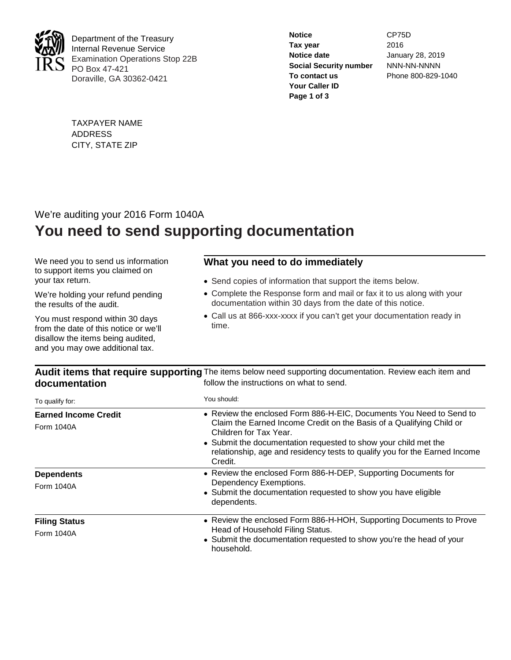

Department of the Treasury Internal Revenue Service Examination Operations Stop 22B PO Box 47-421 Doraville, GA 30362-0421

| <b>Notice</b>                 | CP75D              |
|-------------------------------|--------------------|
| Tax year                      | 2016               |
| Notice date                   | January 28, 2019   |
| <b>Social Security number</b> | NNN-NN-NNNN        |
| To contact us                 | Phone 800-829-1040 |
| Your Caller ID                |                    |
| Page 1 of 3                   |                    |

TAXPAYER NAME ADDRESS CITY, STATE ZIP

## We're auditing your 2016 Form 1040A **You need to send supporting documentation**

We need you to send us information to support items you claimed on your tax return.

We're holding your refund pending the results of the audit.

You must respond within 30 days from the date of this notice or we'll disallow the items being audited, and you may owe additional tax.

## **What you need to do immediately**

- Send copies of information that support the items below.
- Complete the Response form and mail or fax it to us along with your documentation within 30 days from the date of this notice.
- Call us at 866-xxx-xxxx if you can't get your documentation ready in time.

Audit items that require supporting The items below need supporting documentation. Review each item and **documentation** follow the instructions on what to send.

| To qualify for:             | You should:                                                                                                                                                           |  |  |  |
|-----------------------------|-----------------------------------------------------------------------------------------------------------------------------------------------------------------------|--|--|--|
| <b>Earned Income Credit</b> | • Review the enclosed Form 886-H-EIC, Documents You Need to Send to<br>Claim the Earned Income Credit on the Basis of a Qualifying Child or<br>Children for Tax Year. |  |  |  |
| Form 1040A                  |                                                                                                                                                                       |  |  |  |
|                             | • Submit the documentation requested to show your child met the<br>relationship, age and residency tests to qualify you for the Earned Income<br>Credit.              |  |  |  |
| <b>Dependents</b>           | • Review the enclosed Form 886-H-DEP, Supporting Documents for                                                                                                        |  |  |  |
| Form 1040A                  | Dependency Exemptions.<br>• Submit the documentation requested to show you have eligible<br>dependents.                                                               |  |  |  |
| <b>Filing Status</b>        | • Review the enclosed Form 886-H-HOH, Supporting Documents to Prove                                                                                                   |  |  |  |
| Form 1040A                  | Head of Household Filing Status.<br>• Submit the documentation requested to show you're the head of your<br>household.                                                |  |  |  |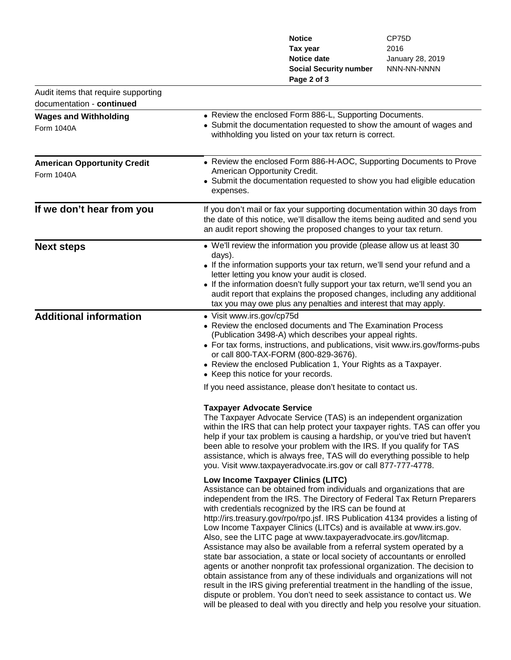|                                     |                                                          | <b>Notice</b>                                                                                                                                                                                                                  | CP75D                                                                          |  |
|-------------------------------------|----------------------------------------------------------|--------------------------------------------------------------------------------------------------------------------------------------------------------------------------------------------------------------------------------|--------------------------------------------------------------------------------|--|
|                                     |                                                          | Tax year                                                                                                                                                                                                                       | 2016                                                                           |  |
|                                     |                                                          | <b>Notice date</b>                                                                                                                                                                                                             | January 28, 2019                                                               |  |
|                                     |                                                          | <b>Social Security number</b>                                                                                                                                                                                                  | NNN-NN-NNNN                                                                    |  |
|                                     |                                                          | Page 2 of 3                                                                                                                                                                                                                    |                                                                                |  |
| Audit items that require supporting |                                                          |                                                                                                                                                                                                                                |                                                                                |  |
| documentation - continued           |                                                          |                                                                                                                                                                                                                                |                                                                                |  |
| <b>Wages and Withholding</b>        |                                                          | • Review the enclosed Form 886-L, Supporting Documents.                                                                                                                                                                        |                                                                                |  |
| <b>Form 1040A</b>                   |                                                          | • Submit the documentation requested to show the amount of wages and<br>withholding you listed on your tax return is correct.                                                                                                  |                                                                                |  |
| <b>American Opportunity Credit</b>  |                                                          | • Review the enclosed Form 886-H-AOC, Supporting Documents to Prove                                                                                                                                                            |                                                                                |  |
| <b>Form 1040A</b>                   | American Opportunity Credit.                             |                                                                                                                                                                                                                                |                                                                                |  |
|                                     |                                                          | • Submit the documentation requested to show you had eligible education                                                                                                                                                        |                                                                                |  |
|                                     | expenses.                                                |                                                                                                                                                                                                                                |                                                                                |  |
| If we don't hear from you           |                                                          | If you don't mail or fax your supporting documentation within 30 days from<br>the date of this notice, we'll disallow the items being audited and send you<br>an audit report showing the proposed changes to your tax return. |                                                                                |  |
| <b>Next steps</b>                   |                                                          | • We'll review the information you provide (please allow us at least 30                                                                                                                                                        |                                                                                |  |
|                                     | days).                                                   |                                                                                                                                                                                                                                |                                                                                |  |
|                                     |                                                          | • If the information supports your tax return, we'll send your refund and a                                                                                                                                                    |                                                                                |  |
|                                     |                                                          | letter letting you know your audit is closed.                                                                                                                                                                                  |                                                                                |  |
|                                     |                                                          | • If the information doesn't fully support your tax return, we'll send you an<br>audit report that explains the proposed changes, including any additional                                                                     |                                                                                |  |
|                                     |                                                          | tax you may owe plus any penalties and interest that may apply.                                                                                                                                                                |                                                                                |  |
| <b>Additional information</b>       | • Visit www.irs.gov/cp75d                                |                                                                                                                                                                                                                                |                                                                                |  |
|                                     |                                                          | • Review the enclosed documents and The Examination Process                                                                                                                                                                    |                                                                                |  |
|                                     | (Publication 3498-A) which describes your appeal rights. |                                                                                                                                                                                                                                |                                                                                |  |
|                                     |                                                          |                                                                                                                                                                                                                                | • For tax forms, instructions, and publications, visit www.irs.gov/forms-pubs  |  |
|                                     |                                                          | or call 800-TAX-FORM (800-829-3676).                                                                                                                                                                                           |                                                                                |  |
|                                     |                                                          | • Review the enclosed Publication 1, Your Rights as a Taxpayer.<br>• Keep this notice for your records.                                                                                                                        |                                                                                |  |
|                                     |                                                          | If you need assistance, please don't hesitate to contact us.                                                                                                                                                                   |                                                                                |  |
|                                     |                                                          |                                                                                                                                                                                                                                |                                                                                |  |
|                                     | <b>Taxpayer Advocate Service</b>                         |                                                                                                                                                                                                                                |                                                                                |  |
|                                     |                                                          | The Taxpayer Advocate Service (TAS) is an independent organization                                                                                                                                                             |                                                                                |  |
|                                     |                                                          |                                                                                                                                                                                                                                | within the IRS that can help protect your taxpayer rights. TAS can offer you   |  |
|                                     |                                                          | help if your tax problem is causing a hardship, or you've tried but haven't                                                                                                                                                    |                                                                                |  |
|                                     |                                                          | been able to resolve your problem with the IRS. If you qualify for TAS                                                                                                                                                         |                                                                                |  |
|                                     |                                                          | assistance, which is always free, TAS will do everything possible to help<br>you. Visit www.taxpayeradvocate.irs.gov or call 877-777-4778.                                                                                     |                                                                                |  |
|                                     |                                                          |                                                                                                                                                                                                                                |                                                                                |  |
|                                     |                                                          | Low Income Taxpayer Clinics (LITC)                                                                                                                                                                                             |                                                                                |  |
|                                     |                                                          | Assistance can be obtained from individuals and organizations that are<br>independent from the IRS. The Directory of Federal Tax Return Preparers                                                                              |                                                                                |  |
|                                     |                                                          | with credentials recognized by the IRS can be found at                                                                                                                                                                         |                                                                                |  |
|                                     |                                                          | http://irs.treasury.gov/rpo/rpo.jsf. IRS Publication 4134 provides a listing of                                                                                                                                                |                                                                                |  |
|                                     |                                                          | Low Income Taxpayer Clinics (LITCs) and is available at www.irs.gov.                                                                                                                                                           |                                                                                |  |
|                                     |                                                          | Also, see the LITC page at www.taxpayeradvocate.irs.gov/litcmap.                                                                                                                                                               |                                                                                |  |
|                                     |                                                          | Assistance may also be available from a referral system operated by a                                                                                                                                                          |                                                                                |  |
|                                     |                                                          | state bar association, a state or local society of accountants or enrolled                                                                                                                                                     |                                                                                |  |
|                                     |                                                          | agents or another nonprofit tax professional organization. The decision to                                                                                                                                                     |                                                                                |  |
|                                     |                                                          | obtain assistance from any of these individuals and organizations will not<br>result in the IRS giving preferential treatment in the handling of the issue,                                                                    |                                                                                |  |
|                                     |                                                          | dispute or problem. You don't need to seek assistance to contact us. We                                                                                                                                                        |                                                                                |  |
|                                     |                                                          |                                                                                                                                                                                                                                | will be pleased to deal with you directly and help you resolve your situation. |  |
|                                     |                                                          |                                                                                                                                                                                                                                |                                                                                |  |